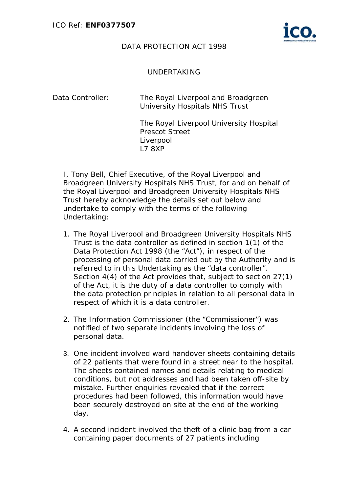

## DATA PROTECTION ACT 1998

## UNDERTAKING

| Data Controller: | University Hospitals NHS Trust | The Royal Liverpool and Broadgreen |  |
|------------------|--------------------------------|------------------------------------|--|
|                  |                                |                                    |  |

The Royal Liverpool University Hospital Prescot Street Liverpool L7 8XP

I, Tony Bell, Chief Executive, of the Royal Liverpool and Broadgreen University Hospitals NHS Trust, for and on behalf of the Royal Liverpool and Broadgreen University Hospitals NHS Trust hereby acknowledge the details set out below and undertake to comply with the terms of the following Undertaking:

- 1. The Royal Liverpool and Broadgreen University Hospitals NHS Trust is the data controller as defined in section 1(1) of the Data Protection Act 1998 (the "Act"), in respect of the processing of personal data carried out by the Authority and is referred to in this Undertaking as the "data controller". Section 4(4) of the Act provides that, subject to section 27(1) of the Act, it is the duty of a data controller to comply with the data protection principles in relation to all personal data in respect of which it is a data controller.
- 2. The Information Commissioner (the "Commissioner") was notified of two separate incidents involving the loss of personal data.
- 3. One incident involved ward handover sheets containing details of 22 patients that were found in a street near to the hospital. The sheets contained names and details relating to medical conditions, but not addresses and had been taken off-site by mistake. Further enquiries revealed that if the correct procedures had been followed, this information would have been securely destroyed on site at the end of the working day.
- 4. A second incident involved the theft of a clinic bag from a car containing paper documents of 27 patients including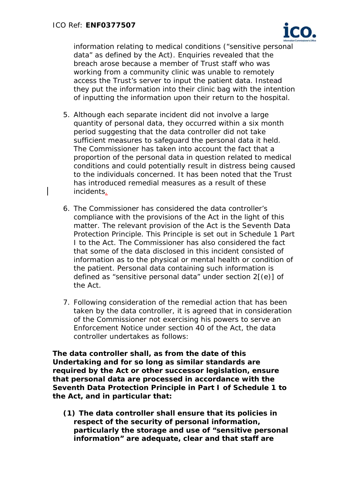

information relating to medical conditions ("sensitive personal data" as defined by the Act). Enquiries revealed that the breach arose because a member of Trust staff who was working from a community clinic was unable to remotely access the Trust's server to input the patient data. Instead they put the information into their clinic bag with the intention of inputting the information upon their return to the hospital.

- 5. Although each separate incident did not involve a large quantity of personal data, they occurred within a six month period suggesting that the data controller did not take sufficient measures to safeguard the personal data it held. The Commissioner has taken into account the fact that a proportion of the personal data in question related to medical conditions and could potentially result in distress being caused to the individuals concerned. It has been noted that the Trust has introduced remedial measures as a result of these incidents.
- 6. The Commissioner has considered the data controller's compliance with the provisions of the Act in the light of this matter. The relevant provision of the Act is the Seventh Data Protection Principle. This Principle is set out in Schedule 1 Part I to the Act. The Commissioner has also considered the fact that some of the data disclosed in this incident consisted of information as to the physical or mental health or condition of the patient. Personal data containing such information is defined as "sensitive personal data" under section  $2[(e)]$  of the Act.
- 7. Following consideration of the remedial action that has been taken by the data controller, it is agreed that in consideration of the Commissioner not exercising his powers to serve an Enforcement Notice under section 40 of the Act, the data controller undertakes as follows:

**The data controller shall, as from the date of this Undertaking and for so long as similar standards are required by the Act or other successor legislation, ensure that personal data are processed in accordance with the Seventh Data Protection Principle in Part I of Schedule 1 to the Act, and in particular that:** 

**(1) The data controller shall ensure that its policies in respect of the security of personal information, particularly the storage and use of "sensitive personal information" are adequate, clear and that staff are**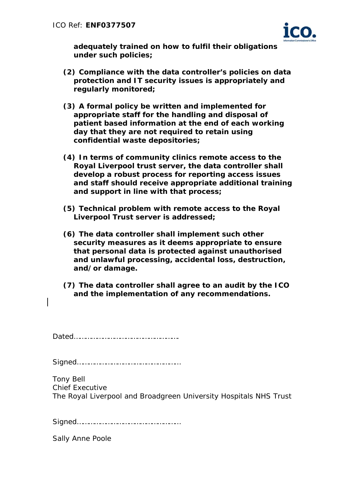

**adequately trained on how to fulfil their obligations under such policies;** 

- **(2) Compliance with the data controller's policies on data protection and IT security issues is appropriately and regularly monitored;**
- **(3) A formal policy be written and implemented for appropriate staff for the handling and disposal of patient based information at the end of each working day that they are not required to retain using confidential waste depositories;**
- **(4) In terms of community clinics remote access to the Royal Liverpool trust server, the data controller shall develop a robust process for reporting access issues and staff should receive appropriate additional training and support in line with that process;**
- **(5) Technical problem with remote access to the Royal Liverpool Trust server is addressed;**
- **(6) The data controller shall implement such other security measures as it deems appropriate to ensure that personal data is protected against unauthorised and unlawful processing, accidental loss, destruction, and/or damage.**
- **(7) The data controller shall agree to an audit by the ICO and the implementation of any recommendations.**

Dated……………………………………………….

Signed………………………………………………

Tony Bell Chief Executive The Royal Liverpool and Broadgreen University Hospitals NHS Trust

|--|

Sally Anne Poole